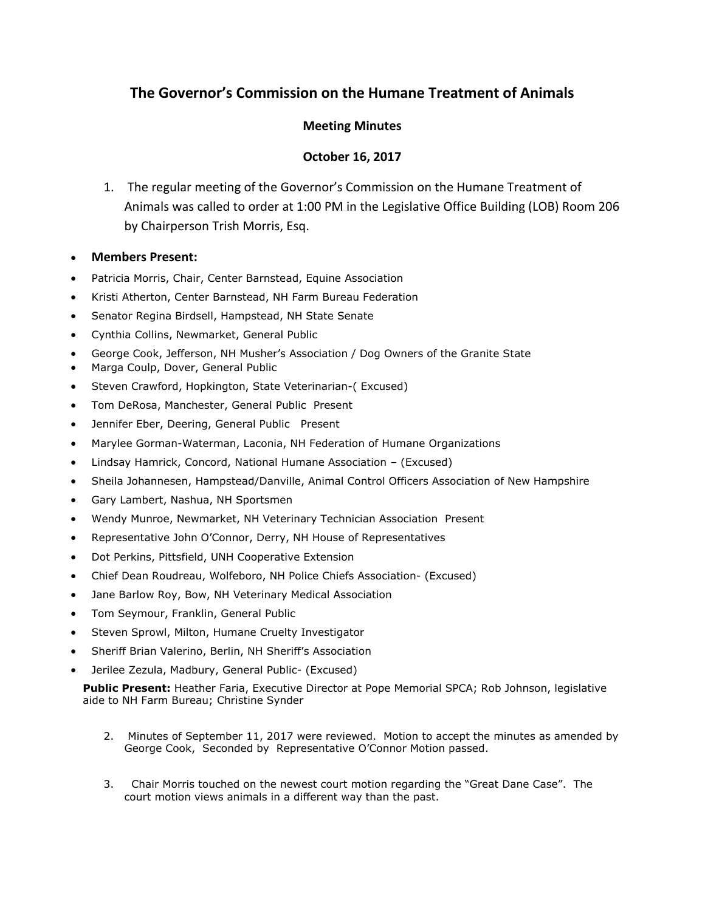# **The Governor's Commission on the Humane Treatment of Animals**

### **Meeting Minutes**

## **October 16, 2017**

1. The regular meeting of the Governor's Commission on the Humane Treatment of Animals was called to order at 1:00 PM in the Legislative Office Building (LOB) Room 206 by Chairperson Trish Morris, Esq.

### **Members Present:**

- Patricia Morris, Chair, Center Barnstead, Equine Association
- Kristi Atherton, Center Barnstead, NH Farm Bureau Federation
- Senator Regina Birdsell, Hampstead, NH State Senate
- Cynthia Collins, Newmarket, General Public
- George Cook, Jefferson, NH Musher's Association / Dog Owners of the Granite State
- Marga Coulp, Dover, General Public
- Steven Crawford, Hopkington, State Veterinarian-( Excused)
- Tom DeRosa, Manchester, General Public Present
- Jennifer Eber, Deering, General Public Present
- Marylee Gorman-Waterman, Laconia, NH Federation of Humane Organizations
- Lindsay Hamrick, Concord, National Humane Association (Excused)
- Sheila Johannesen, Hampstead/Danville, Animal Control Officers Association of New Hampshire
- Gary Lambert, Nashua, NH Sportsmen
- Wendy Munroe, Newmarket, NH Veterinary Technician Association Present
- Representative John O'Connor, Derry, NH House of Representatives
- Dot Perkins, Pittsfield, UNH Cooperative Extension
- Chief Dean Roudreau, Wolfeboro, NH Police Chiefs Association- (Excused)
- Jane Barlow Roy, Bow, NH Veterinary Medical Association
- Tom Seymour, Franklin, General Public
- Steven Sprowl, Milton, Humane Cruelty Investigator
- Sheriff Brian Valerino, Berlin, NH Sheriff's Association
- Jerilee Zezula, Madbury, General Public- (Excused)

**Public Present:** Heather Faria, Executive Director at Pope Memorial SPCA; Rob Johnson, legislative aide to NH Farm Bureau; Christine Synder

- 2. Minutes of September 11, 2017 were reviewed. Motion to accept the minutes as amended by George Cook, Seconded by Representative O'Connor Motion passed.
- 3. Chair Morris touched on the newest court motion regarding the "Great Dane Case". The court motion views animals in a different way than the past.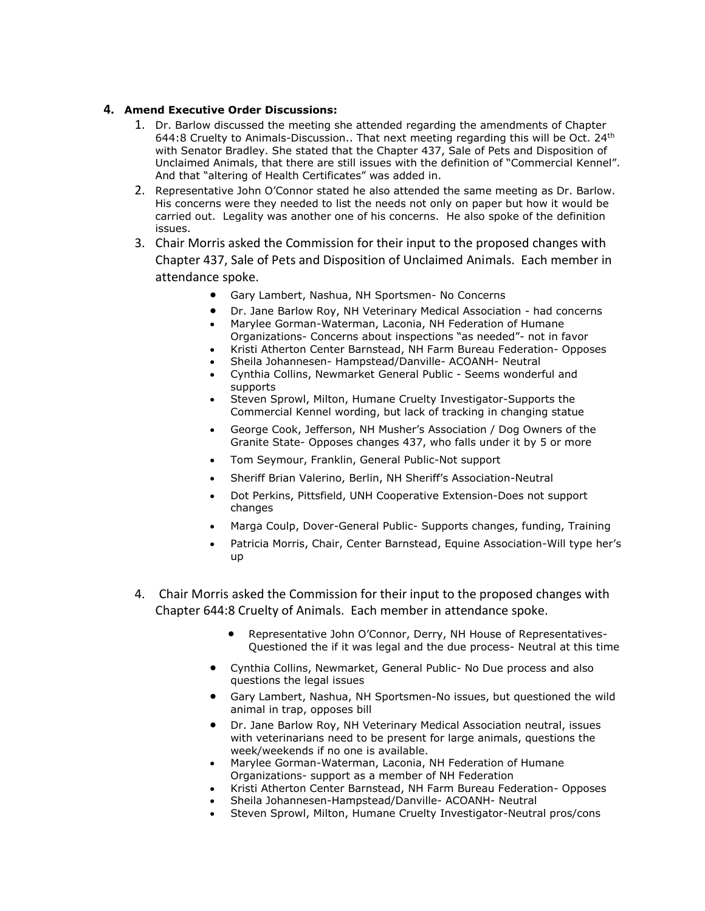### **4. Amend Executive Order Discussions:**

- 1. Dr. Barlow discussed the meeting she attended regarding the amendments of Chapter 644:8 Cruelty to Animals-Discussion.. That next meeting regarding this will be Oct. 24<sup>th</sup> with Senator Bradley. She stated that the Chapter 437, Sale of Pets and Disposition of Unclaimed Animals, that there are still issues with the definition of "Commercial Kennel". And that "altering of Health Certificates" was added in.
- 2. Representative John O'Connor stated he also attended the same meeting as Dr. Barlow. His concerns were they needed to list the needs not only on paper but how it would be carried out. Legality was another one of his concerns. He also spoke of the definition issues.
- 3. Chair Morris asked the Commission for their input to the proposed changes with Chapter 437, Sale of Pets and Disposition of Unclaimed Animals. Each member in attendance spoke.
	- Gary Lambert, Nashua, NH Sportsmen- No Concerns
	- Dr. Jane Barlow Roy, NH Veterinary Medical Association had concerns
	- Marylee Gorman-Waterman, Laconia, NH Federation of Humane Organizations- Concerns about inspections "as needed"- not in favor
	- Kristi Atherton Center Barnstead, NH Farm Bureau Federation- Opposes
	- Sheila Johannesen- Hampstead/Danville- ACOANH- Neutral
	- Cynthia Collins, Newmarket General Public Seems wonderful and supports
	- Steven Sprowl, Milton, Humane Cruelty Investigator-Supports the Commercial Kennel wording, but lack of tracking in changing statue
	- George Cook, Jefferson, NH Musher's Association / Dog Owners of the Granite State- Opposes changes 437, who falls under it by 5 or more
	- Tom Seymour, Franklin, General Public-Not support
	- Sheriff Brian Valerino, Berlin, NH Sheriff's Association-Neutral
	- Dot Perkins, Pittsfield, UNH Cooperative Extension-Does not support changes
	- Marga Coulp, Dover-General Public- Supports changes, funding, Training
	- Patricia Morris, Chair, Center Barnstead, Equine Association-Will type her's up
- 4. Chair Morris asked the Commission for their input to the proposed changes with Chapter 644:8 Cruelty of Animals. Each member in attendance spoke.
	- Representative John O'Connor, Derry, NH House of Representatives-Questioned the if it was legal and the due process- Neutral at this time
	- Cynthia Collins, Newmarket, General Public- No Due process and also questions the legal issues
	- Gary Lambert, Nashua, NH Sportsmen-No issues, but questioned the wild animal in trap, opposes bill
	- Dr. Jane Barlow Roy, NH Veterinary Medical Association neutral, issues with veterinarians need to be present for large animals, questions the week/weekends if no one is available.
	- Marylee Gorman-Waterman, Laconia, NH Federation of Humane Organizations- support as a member of NH Federation
	- Kristi Atherton Center Barnstead, NH Farm Bureau Federation- Opposes
	- Sheila Johannesen-Hampstead/Danville- ACOANH- Neutral
	- Steven Sprowl, Milton, Humane Cruelty Investigator-Neutral pros/cons